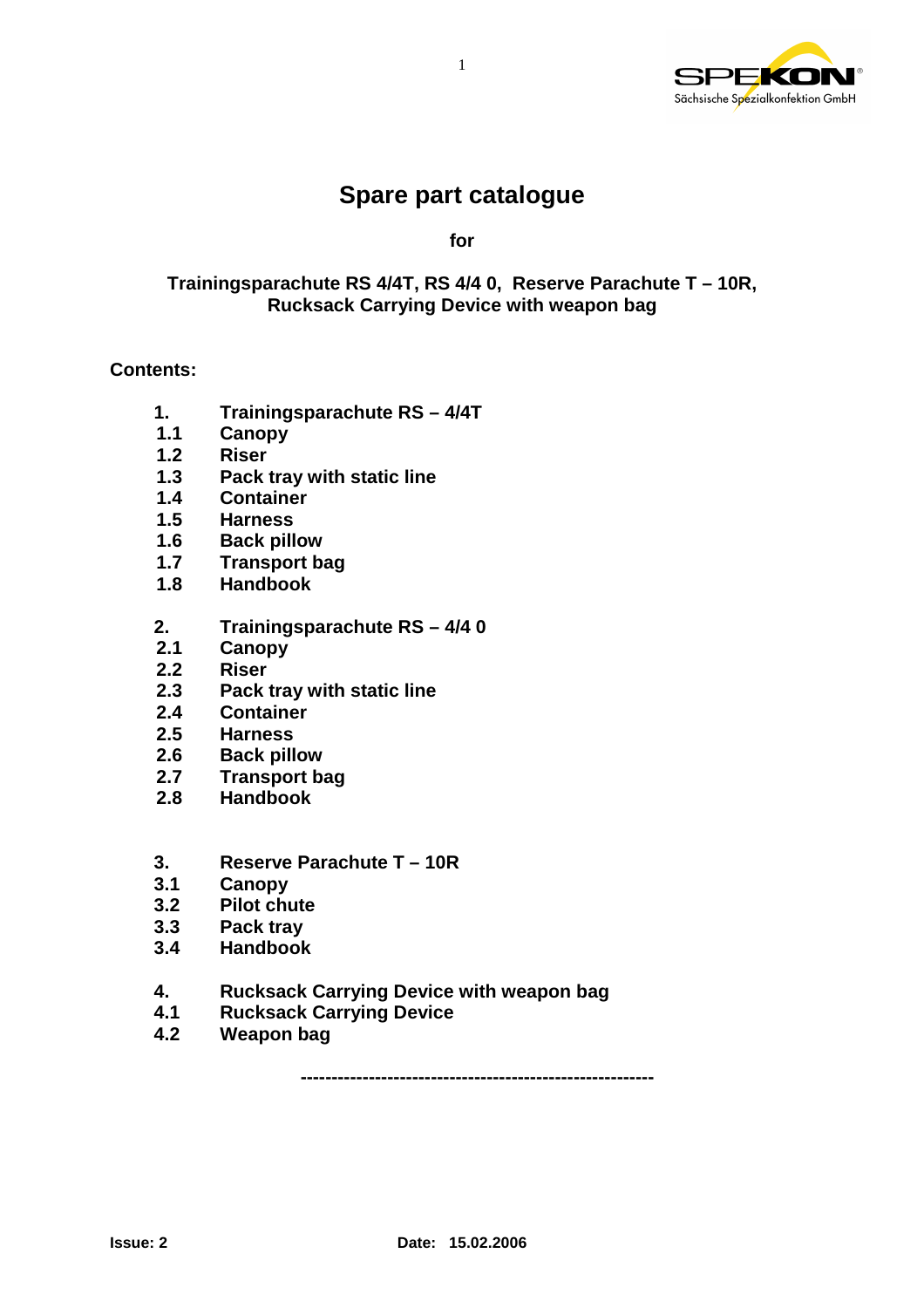

# **Spare part catalogue**

1

**for** 

#### **Trainingsparachute RS 4/4T, RS 4/4 0, Reserve Parachute T – 10R, Rucksack Carrying Device with weapon bag**

#### **Contents:**

- **1. Trainingsparachute RS 4/4T**
- **1.1 Canopy**
- **1.2 Riser**
- **1.3 Pack tray with static line**
- **1.4 Container**
- **1.5 Harness**
- **1.6 Back pillow**
- **1.7 Transport bag**
- **1.8 Handbook**
- **2. Trainingsparachute RS 4/4 0**
- **2.1 Canopy**
- **2.2 Riser**
- **2.3 Pack tray with static line**
- **2.4 Container**
- **2.5 Harness**
- **2.6 Back pillow**
- **2.7 Transport bag**
- **2.8 Handbook**
- **3. Reserve Parachute T 10R**
- **3.1 Canopy**
- **3.2 Pilot chute**
- **3.3 Pack tray**
- **3.4 Handbook**
- **4. Rucksack Carrying Device with weapon bag**
- **4.1 Rucksack Carrying Device**
- **4.2 Weapon bag**

**---------------------------------------------------------**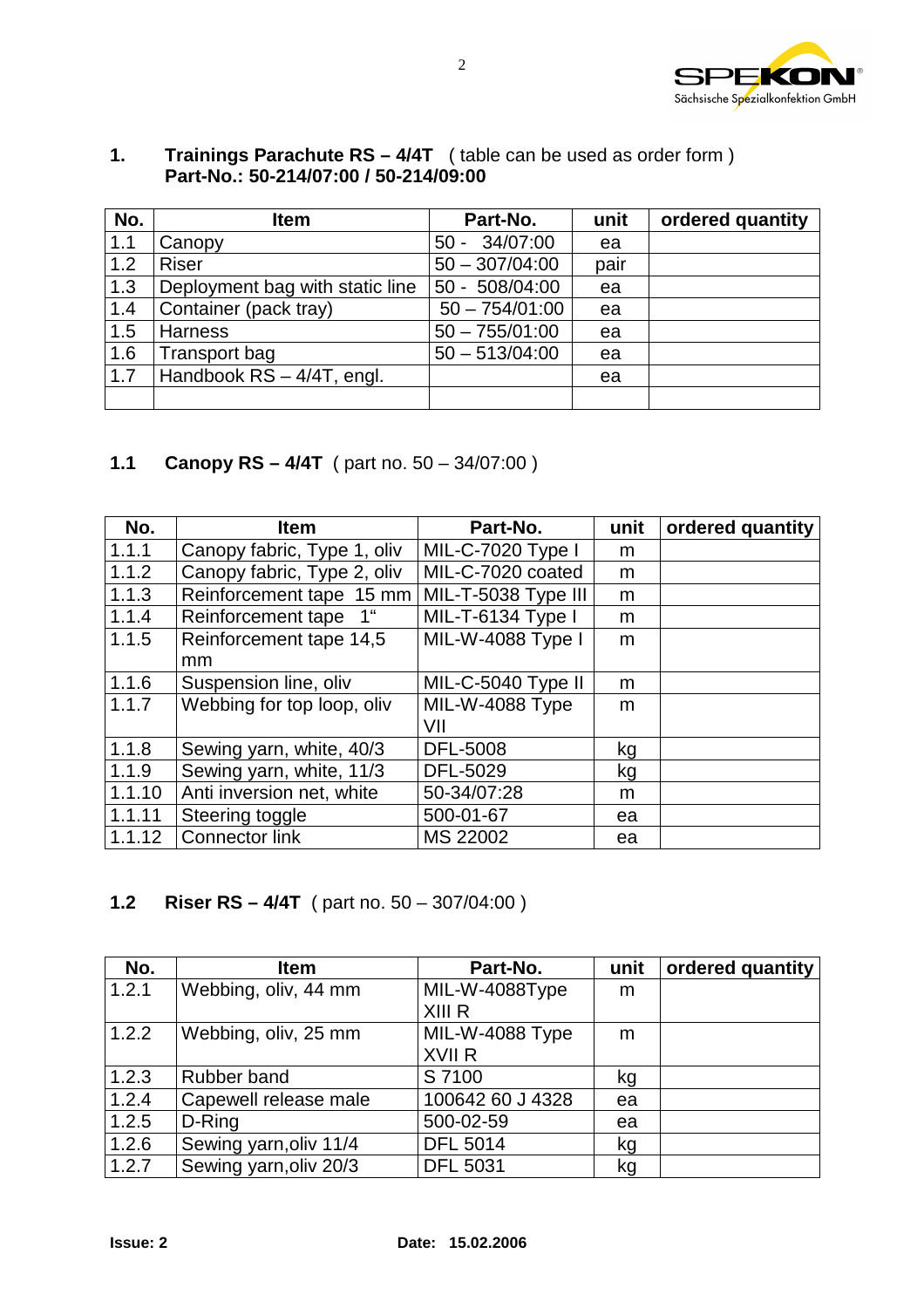

|     | Part-No.: 50-214/07:00 / 50-214/09:00 |                  |      |                  |
|-----|---------------------------------------|------------------|------|------------------|
| No. | <b>Item</b>                           | Part-No.         | unit | ordered quantity |
| 1.1 | Canopy                                | $50 - 34/07:00$  | ea   |                  |
| 1.2 | <b>Riser</b>                          | $50 - 307/04:00$ | pair |                  |
| 1.3 | Deployment bag with static line       | $50 - 508/04:00$ | ea   |                  |
| 1.4 | Container (pack tray)                 | $50 - 754/01:00$ | ea   |                  |
| 1.5 | <b>Harness</b>                        | $50 - 755/01:00$ | ea   |                  |
| 1.6 | Transport bag                         | $50 - 513/04:00$ | ea   |                  |

#### **1. Trainings Parachute RS – 4/4T** ( table can be used as order form )  **Part-No.: 50-214/07:00 / 50-214/09:00**

#### **1.1 Canopy RS – 4/4T** ( part no. 50 – 34/07:00 )

1.7 Handbook RS – 4/4T, engl. ea

| No.    | <b>Item</b>                           | Part-No.                 | unit | ordered quantity |
|--------|---------------------------------------|--------------------------|------|------------------|
| 1.1.1  | Canopy fabric, Type 1, oliv           | <b>MIL-C-7020 Type I</b> | m    |                  |
| 1.1.2  | Canopy fabric, Type 2, oliv           | MIL-C-7020 coated        | m    |                  |
| 1.1.3  | Reinforcement tape 15 mm              | MIL-T-5038 Type III      | m    |                  |
| 1.1.4  | Reinforcement tape<br>1 <sup>ii</sup> | MIL-T-6134 Type I        | m    |                  |
| 1.1.5  | Reinforcement tape 14,5               | MIL-W-4088 Type I        | m    |                  |
|        | mm                                    |                          |      |                  |
| 1.1.6  | Suspension line, oliv                 | MIL-C-5040 Type II       | m    |                  |
| 1.1.7  | Webbing for top loop, oliv            | MIL-W-4088 Type          | m    |                  |
|        |                                       | VII                      |      |                  |
| 1.1.8  | Sewing yarn, white, 40/3              | <b>DFL-5008</b>          | kg   |                  |
| 1.1.9  | Sewing yarn, white, 11/3              | DFL-5029                 | kg   |                  |
| 1.1.10 | Anti inversion net, white             | 50-34/07:28              | m    |                  |
| 1.1.11 | Steering toggle                       | 500-01-67                | ea   |                  |
| 1.1.12 | <b>Connector link</b>                 | MS 22002                 | ea   |                  |

#### **1.2 Riser RS – 4/4T** ( part no. 50 – 307/04:00 )

| No.   | <b>Item</b>            | Part-No.         | unit | ordered quantity |
|-------|------------------------|------------------|------|------------------|
| 1.2.1 | Webbing, oliv, 44 mm   | MIL-W-4088Type   | m    |                  |
|       |                        | XIII R           |      |                  |
| 1.2.2 | Webbing, oliv, 25 mm   | MIL-W-4088 Type  | m    |                  |
|       |                        | XVII R           |      |                  |
| 1.2.3 | Rubber band            | S 7100           | kg   |                  |
| 1.2.4 | Capewell release male  | 100642 60 J 4328 | ea   |                  |
| 1.2.5 | D-Ring                 | 500-02-59        | ea   |                  |
| 1.2.6 | Sewing yarn, oliv 11/4 | <b>DFL 5014</b>  | kg   |                  |
| 1.2.7 | Sewing yarn, oliv 20/3 | <b>DFL 5031</b>  | kg   |                  |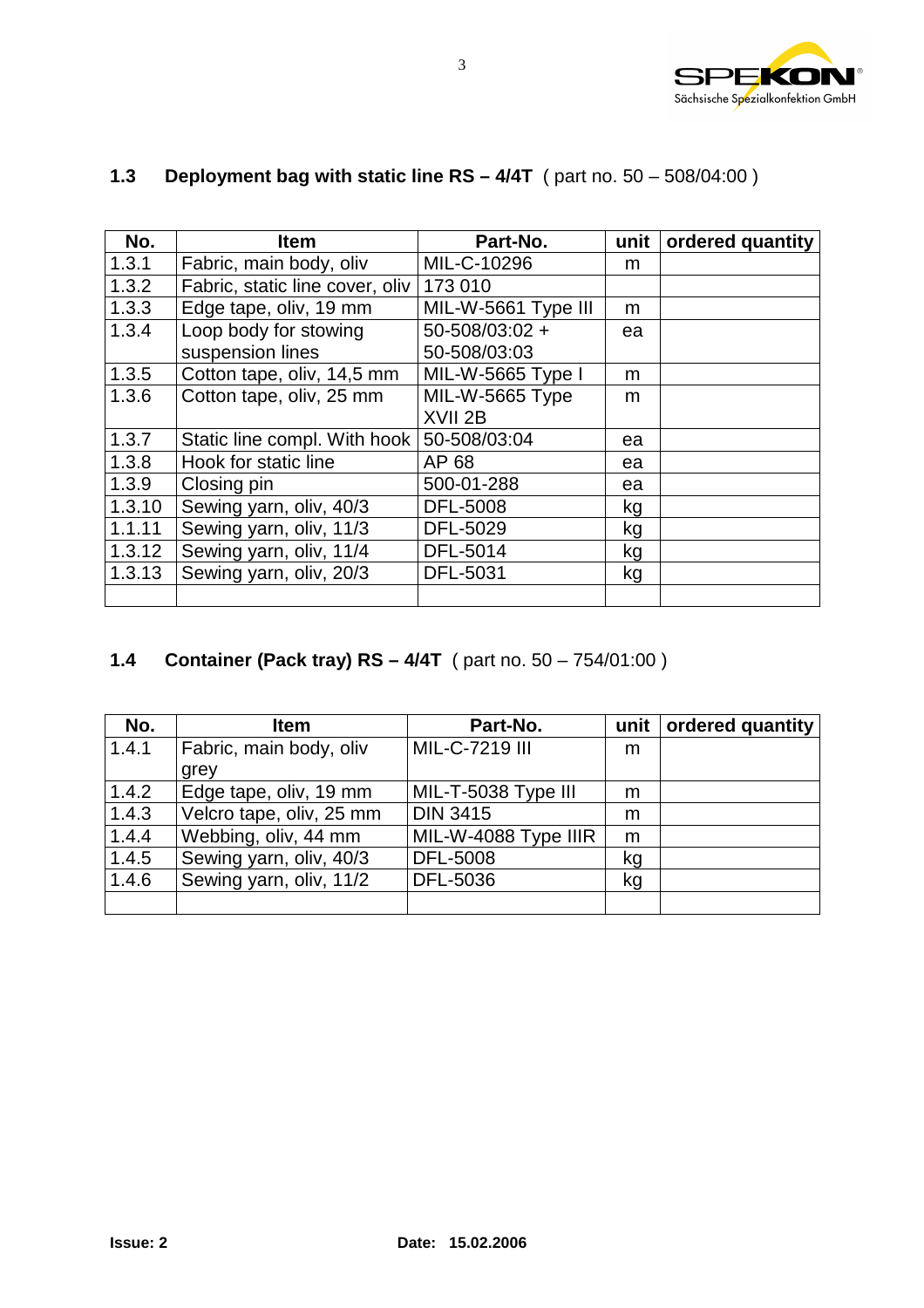

| No.    | <b>Item</b>                     | Part-No.                 | unit | ordered quantity |
|--------|---------------------------------|--------------------------|------|------------------|
| 1.3.1  | Fabric, main body, oliv         | MIL-C-10296              | m    |                  |
| 1.3.2  | Fabric, static line cover, oliv | 173 010                  |      |                  |
| 1.3.3  | Edge tape, oliv, 19 mm          | MIL-W-5661 Type III      | m    |                  |
| 1.3.4  | Loop body for stowing           | $50 - 508/03:02 +$       | ea   |                  |
|        | suspension lines                | 50-508/03:03             |      |                  |
| 1.3.5  | Cotton tape, oliv, 14,5 mm      | <b>MIL-W-5665 Type I</b> | m    |                  |
| 1.3.6  | Cotton tape, oliv, 25 mm        | MIL-W-5665 Type          | m    |                  |
|        |                                 | XVII <sub>2B</sub>       |      |                  |
| 1.3.7  | Static line compl. With hook    | 50-508/03:04             | ea   |                  |
| 1.3.8  | Hook for static line            | AP 68                    | ea   |                  |
| 1.3.9  | Closing pin                     | 500-01-288               | ea   |                  |
| 1.3.10 | Sewing yarn, oliv, 40/3         | <b>DFL-5008</b>          | kg   |                  |
| 1.1.11 | Sewing yarn, oliv, 11/3         | DFL-5029                 | kg   |                  |
| 1.3.12 | Sewing yarn, oliv, 11/4         | DFL-5014                 | kg   |                  |
| 1.3.13 | Sewing yarn, oliv, 20/3         | <b>DFL-5031</b>          | kg   |                  |
|        |                                 |                          |      |                  |

# **1.3 Deployment bag with static line RS – 4/4T** ( part no. 50 – 508/04:00 )

# **1.4 Container (Pack tray) RS – 4/4T** ( part no. 50 – 754/01:00 )

| No.   | <b>Item</b>              | Part-No.             | unit | ordered quantity |
|-------|--------------------------|----------------------|------|------------------|
| 1.4.1 | Fabric, main body, oliv  | MIL-C-7219 III       | m    |                  |
|       | grey                     |                      |      |                  |
| 1.4.2 | Edge tape, oliv, 19 mm   | MIL-T-5038 Type III  | m    |                  |
| 1.4.3 | Velcro tape, oliv, 25 mm | <b>DIN 3415</b>      | m    |                  |
| 1.4.4 | Webbing, oliv, 44 mm     | MIL-W-4088 Type IIIR | m    |                  |
| 1.4.5 | Sewing yarn, oliv, 40/3  | <b>DFL-5008</b>      | kg   |                  |
| 1.4.6 | Sewing yarn, oliv, 11/2  | DFL-5036             | kg   |                  |
|       |                          |                      |      |                  |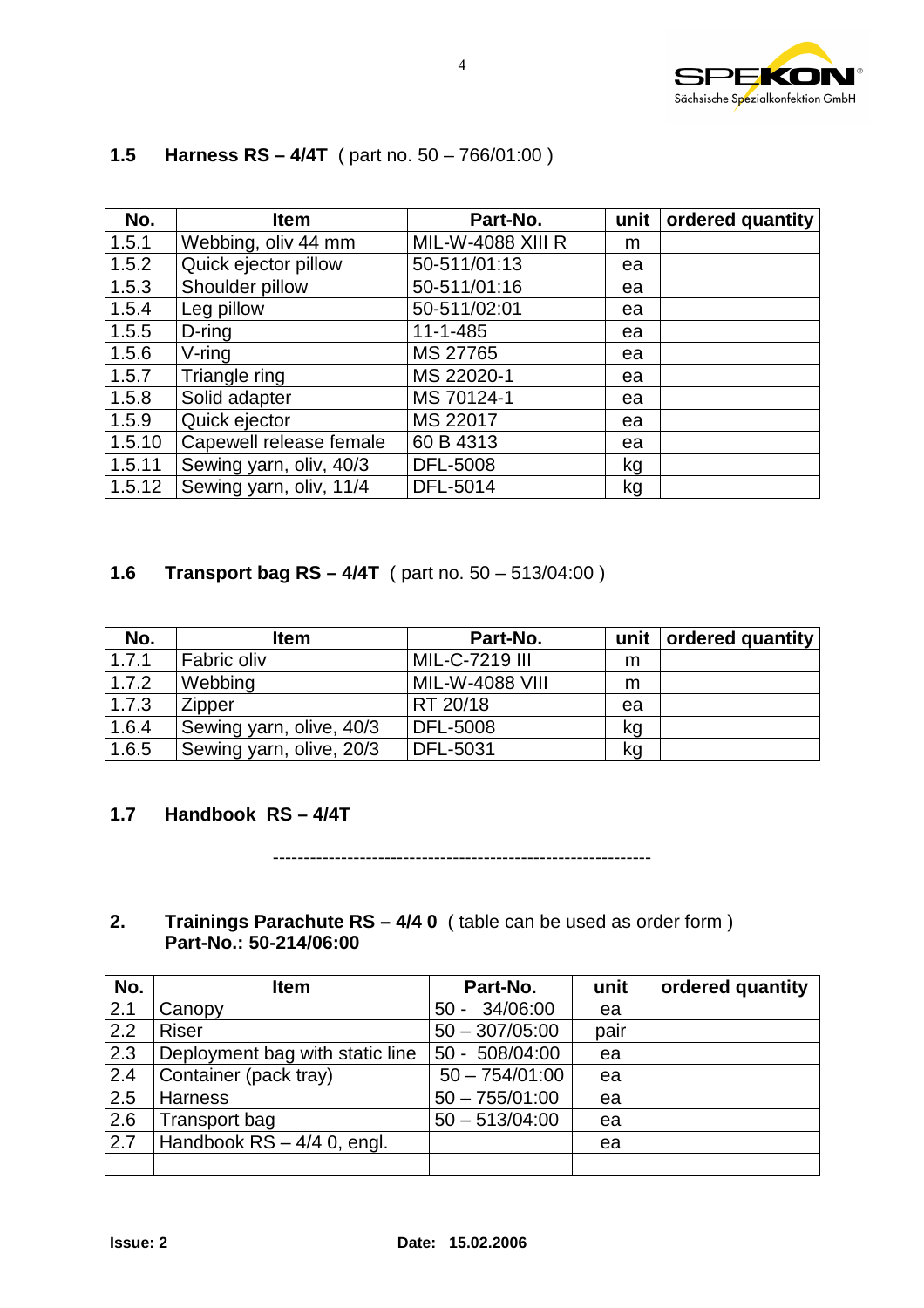

| No.    | <b>Item</b>             | Part-No.                 | unit | ordered quantity |
|--------|-------------------------|--------------------------|------|------------------|
| 1.5.1  | Webbing, oliv 44 mm     | <b>MIL-W-4088 XIII R</b> | m    |                  |
| 1.5.2  | Quick ejector pillow    | 50-511/01:13             | ea   |                  |
| 1.5.3  | Shoulder pillow         | 50-511/01:16             | ea   |                  |
| 1.5.4  | Leg pillow              | 50-511/02:01             | ea   |                  |
| 1.5.5  | $D$ -ring               | $11 - 1 - 485$           | ea   |                  |
| 1.5.6  | $V$ -ring               | MS 27765                 | ea   |                  |
| 1.5.7  | Triangle ring           | MS 22020-1               | ea   |                  |
| 1.5.8  | Solid adapter           | MS 70124-1               | ea   |                  |
| 1.5.9  | Quick ejector           | MS 22017                 | ea   |                  |
| 1.5.10 | Capewell release female | 60 B 4313                | ea   |                  |
| 1.5.11 | Sewing yarn, oliv, 40/3 | DFL-5008                 | kg   |                  |
| 1.5.12 | Sewing yarn, oliv, 11/4 | DFL-5014                 | kg   |                  |

# **1.5 Harness RS – 4/4T** ( part no. 50 – 766/01:00 )

#### **1.6 Transport bag RS – 4/4T** ( part no. 50 – 513/04:00 )

| No.   | <b>Item</b>              | Part-No.        | unit | ordered quantity |
|-------|--------------------------|-----------------|------|------------------|
| 1.7.1 | Fabric oliv              | MIL-C-7219 III  | m    |                  |
| 1.7.2 | Webbing                  | MIL-W-4088 VIII | m    |                  |
| 1.7.3 | Zipper                   | RT 20/18        | ea   |                  |
| 1.6.4 | Sewing yarn, olive, 40/3 | <b>DFL-5008</b> | kg   |                  |
| 1.6.5 | Sewing yarn, olive, 20/3 | DFL-5031        | kg   |                  |

#### **1.7 Handbook RS – 4/4T**

-------------------------------------------------------------

#### **2. Trainings Parachute RS – 4/4 0** ( table can be used as order form )  **Part-No.: 50-214/06:00**

| No. | <b>Item</b>                     | Part-No.           | unit | ordered quantity |
|-----|---------------------------------|--------------------|------|------------------|
| 2.1 | Canopy                          | 34/06:00<br>$50 -$ | ea   |                  |
| 2.2 | <b>Riser</b>                    | $50 - 307/05:00$   | pair |                  |
| 2.3 | Deployment bag with static line | 50 - 508/04:00     | ea   |                  |
| 2.4 | Container (pack tray)           | $50 - 754/01:00$   | ea   |                  |
| 2.5 | <b>Harness</b>                  | $50 - 755/01:00$   | ea   |                  |
| 2.6 | Transport bag                   | $50 - 513/04:00$   | ea   |                  |
| 2.7 | Handbook $RS - 4/4$ 0, engl.    |                    | ea   |                  |
|     |                                 |                    |      |                  |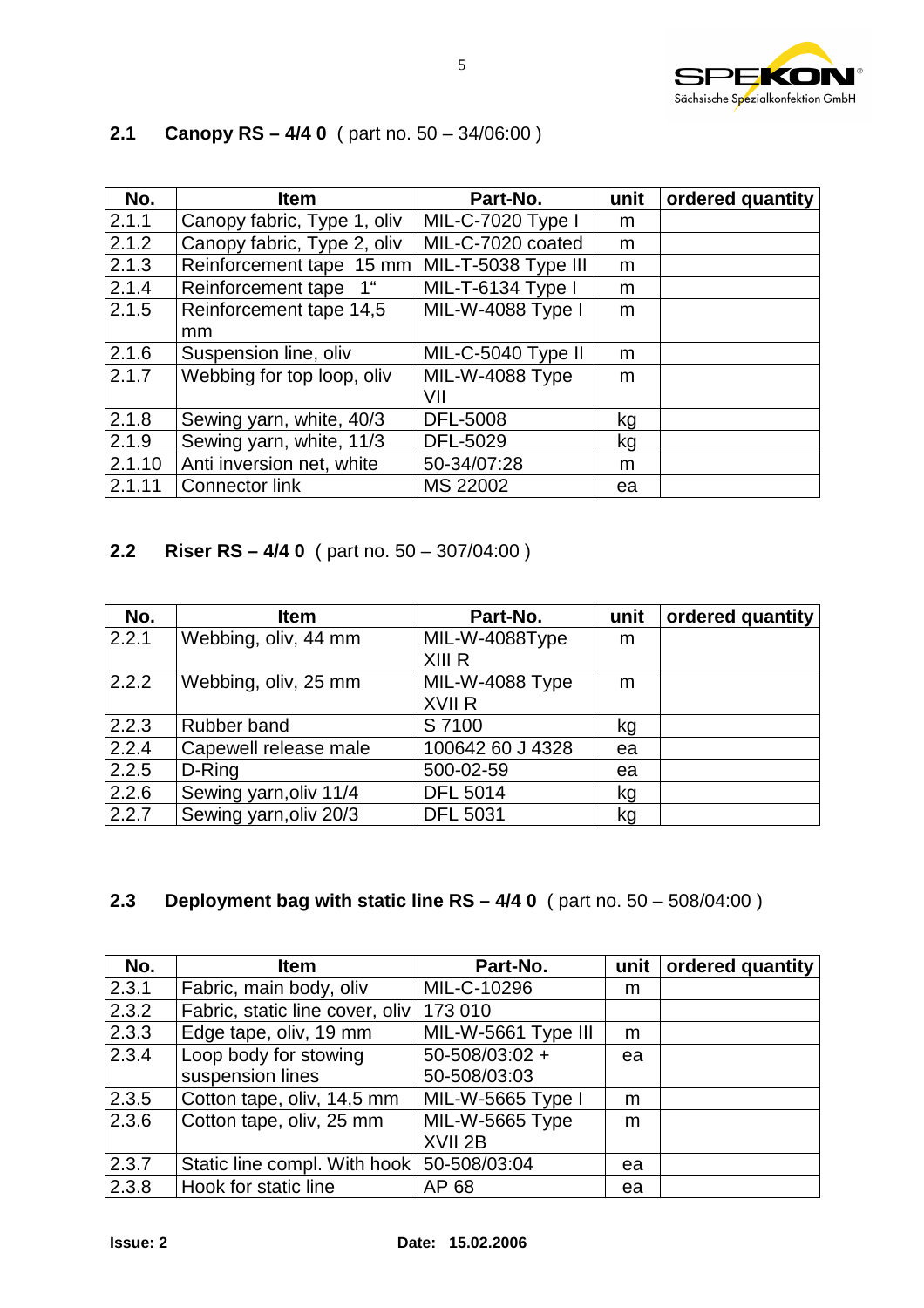

| No.    | <b>Item</b>                           | Part-No.            | unit | ordered quantity |
|--------|---------------------------------------|---------------------|------|------------------|
| 2.1.1  | Canopy fabric, Type 1, oliv           | MIL-C-7020 Type I   | m    |                  |
| 2.1.2  | Canopy fabric, Type 2, oliv           | MIL-C-7020 coated   | m    |                  |
| 2.1.3  | Reinforcement tape 15 mm              | MIL-T-5038 Type III | m    |                  |
| 2.1.4  | Reinforcement tape<br>1 <sup>ii</sup> | MIL-T-6134 Type I   | m    |                  |
| 2.1.5  | Reinforcement tape 14,5               | MIL-W-4088 Type I   | m    |                  |
|        | mm                                    |                     |      |                  |
| 2.1.6  | Suspension line, oliv                 | MIL-C-5040 Type II  | m    |                  |
| 2.1.7  | Webbing for top loop, oliv            | MIL-W-4088 Type     | m    |                  |
|        |                                       | VII                 |      |                  |
| 2.1.8  | Sewing yarn, white, 40/3              | <b>DFL-5008</b>     | kg   |                  |
| 2.1.9  | Sewing yarn, white, 11/3              | DFL-5029            | kg   |                  |
| 2.1.10 | Anti inversion net, white             | 50-34/07:28         | m    |                  |
| 2.1.11 | <b>Connector link</b>                 | MS 22002            | ea   |                  |

# **2.1 Canopy RS – 4/4 0** ( part no. 50 – 34/06:00 )

## **2.2 Riser RS – 4/4 0** ( part no. 50 – 307/04:00 )

| No.   | <b>Item</b>            | Part-No.         | unit | ordered quantity |
|-------|------------------------|------------------|------|------------------|
| 2.2.1 | Webbing, oliv, 44 mm   | MIL-W-4088Type   | m    |                  |
|       |                        | XIII R           |      |                  |
| 2.2.2 | Webbing, oliv, 25 mm   | MIL-W-4088 Type  | m    |                  |
|       |                        | XVII R           |      |                  |
| 2.2.3 | Rubber band            | S 7100           | kg   |                  |
| 2.2.4 | Capewell release male  | 100642 60 J 4328 | ea   |                  |
| 2.2.5 | D-Ring                 | 500-02-59        | ea   |                  |
| 2.2.6 | Sewing yarn, oliv 11/4 | <b>DFL 5014</b>  | kg   |                  |
| 2.2.7 | Sewing yarn, oliv 20/3 | <b>DFL 5031</b>  | kg   |                  |

# **2.3 Deployment bag with static line RS – 4/4 0** ( part no. 50 – 508/04:00 )

| No.   | <b>Item</b>                               | Part-No.                              | unit | ordered quantity |
|-------|-------------------------------------------|---------------------------------------|------|------------------|
| 2.3.1 | Fabric, main body, oliv                   | MIL-C-10296                           | m    |                  |
| 2.3.2 | Fabric, static line cover, oliv           | 173 010                               |      |                  |
| 2.3.3 | Edge tape, oliv, 19 mm                    | MIL-W-5661 Type III                   | m    |                  |
| 2.3.4 | Loop body for stowing<br>suspension lines | $50 - 508/03:02 +$<br>50-508/03:03    | ea   |                  |
| 2.3.5 | Cotton tape, oliv, 14,5 mm                | MIL-W-5665 Type I                     | m    |                  |
| 2.3.6 | Cotton tape, oliv, 25 mm                  | MIL-W-5665 Type<br>XVII <sub>2B</sub> | m    |                  |
| 2.3.7 | Static line compl. With hook              | 50-508/03:04                          | ea   |                  |
| 2.3.8 | Hook for static line                      | AP 68                                 | ea   |                  |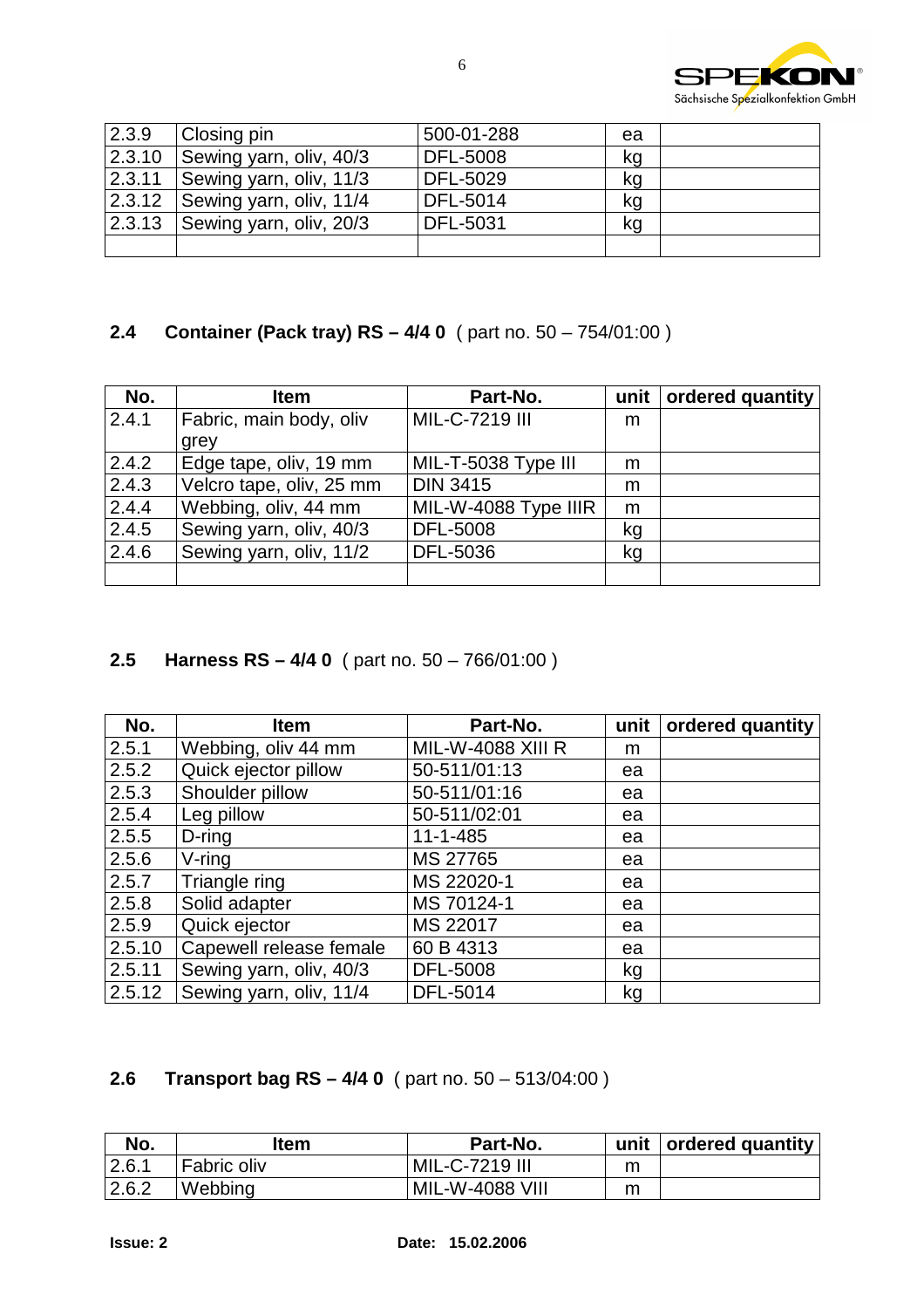

| 2.3.9 | Closing pin                        | 500-01-288      | ea |  |
|-------|------------------------------------|-----------------|----|--|
|       | 2.3.10 Sewing yarn, oliv, $40/3$   | <b>DFL-5008</b> | kg |  |
|       | $2.3.11$ Sewing yarn, oliv, 11/3   | <b>DFL-5029</b> | kg |  |
|       | 2.3.12   Sewing yarn, oliv, $11/4$ | <b>DFL-5014</b> | kg |  |
|       | 2.3.13 Sewing yarn, oliv, $20/3$   | DFL-5031        | kg |  |
|       |                                    |                 |    |  |

### **2.4 Container (Pack tray) RS – 4/4 0** ( part no. 50 – 754/01:00 )

| No.   | <b>Item</b>              | Part-No.             | unit | ordered quantity |
|-------|--------------------------|----------------------|------|------------------|
| 2.4.1 | Fabric, main body, oliv  | MIL-C-7219 III       | m    |                  |
|       | grey                     |                      |      |                  |
| 2.4.2 | Edge tape, oliv, 19 mm   | MIL-T-5038 Type III  | m    |                  |
| 2.4.3 | Velcro tape, oliv, 25 mm | <b>DIN 3415</b>      | m    |                  |
| 2.4.4 | Webbing, oliv, 44 mm     | MIL-W-4088 Type IIIR | m    |                  |
| 2.4.5 | Sewing yarn, oliv, 40/3  | <b>DFL-5008</b>      | kg   |                  |
| 2.4.6 | Sewing yarn, oliv, 11/2  | DFL-5036             | kg   |                  |
|       |                          |                      |      |                  |

# **2.5 Harness RS – 4/4 0** ( part no. 50 – 766/01:00 )

| No.    | <b>Item</b>             | Part-No.                 | unit | ordered quantity |
|--------|-------------------------|--------------------------|------|------------------|
| 2.5.1  | Webbing, oliv 44 mm     | <b>MIL-W-4088 XIII R</b> | m    |                  |
| 2.5.2  | Quick ejector pillow    | 50-511/01:13             | ea   |                  |
| 2.5.3  | Shoulder pillow         | 50-511/01:16             | ea   |                  |
| 2.5.4  | Leg pillow              | 50-511/02:01             | ea   |                  |
| 2.5.5  | $D$ -ring               | $11 - 1 - 485$           | ea   |                  |
| 2.5.6  | $V$ -ring               | MS 27765                 | ea   |                  |
| 2.5.7  | Triangle ring           | MS 22020-1               | ea   |                  |
| 2.5.8  | Solid adapter           | MS 70124-1               | ea   |                  |
| 2.5.9  | Quick ejector           | MS 22017                 | ea   |                  |
| 2.5.10 | Capewell release female | 60 B 4313                | ea   |                  |
| 2.5.11 | Sewing yarn, oliv, 40/3 | <b>DFL-5008</b>          | kg   |                  |
| 2.5.12 | Sewing yarn, oliv, 11/4 | DFL-5014                 | kg   |                  |

#### **2.6 Transport bag RS – 4/4 0** ( part no. 50 – 513/04:00 )

| No.   | ltem        | Part-No.               | unit | ordered quantity |
|-------|-------------|------------------------|------|------------------|
| 2.6.1 | Fabric oliv | MIL-C-7219 III         |      |                  |
| 2.6.2 | Webbing     | <b>MIL-W-4088 VIII</b> |      |                  |

6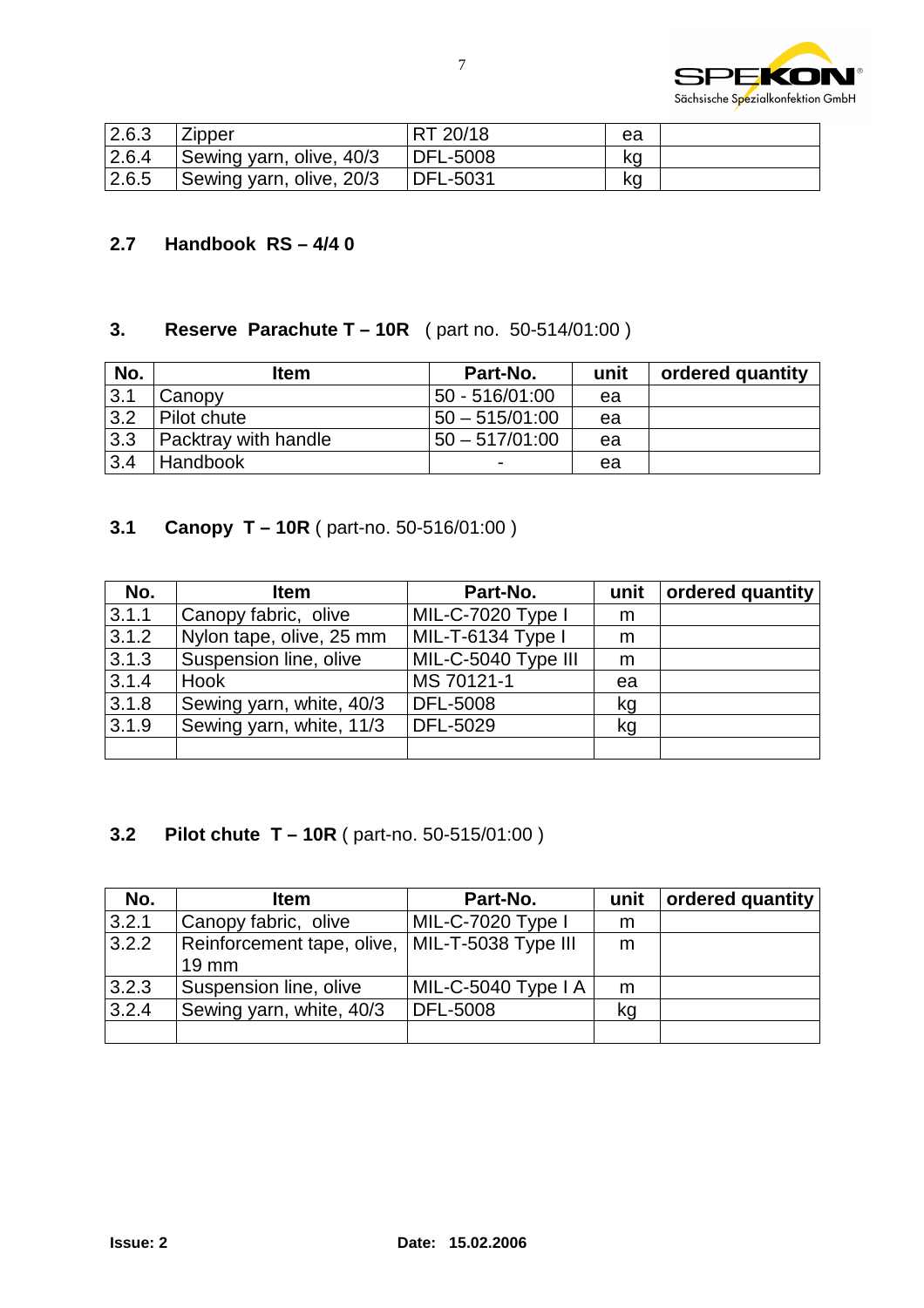

| 2.6.3 | <b>Zipper</b>            | RT 20/18 | ea |  |
|-------|--------------------------|----------|----|--|
| 2.6.4 | Sewing yarn, olive, 40/3 | DFL-5008 | kq |  |
| 2.6.5 | Sewing yarn, olive, 20/3 | DFL-5031 | kq |  |

#### **2.7 Handbook RS – 4/4 0**

#### **3. Reserve Parachute T – 10R** ( part no. 50-514/01:00 )

| No. | ltem                 | Part-No.         | unit | ordered quantity |
|-----|----------------------|------------------|------|------------------|
| 3.1 | Canopy               | 50 - 516/01:00   | ea   |                  |
| 3.2 | Pilot chute          | 50 - 515/01:00   | ea   |                  |
| 3.3 | Packtray with handle | $50 - 517/01:00$ | ea   |                  |
| 3.4 | <b>Handbook</b>      | -                | ea   |                  |

# **3.1 Canopy T – 10R** ( part-no. 50-516/01:00 )

| No.   | <b>Item</b>              | Part-No.            | unit | ordered quantity |
|-------|--------------------------|---------------------|------|------------------|
| 3.1.1 | Canopy fabric, olive     | MIL-C-7020 Type I   | m    |                  |
| 3.1.2 | Nylon tape, olive, 25 mm | MIL-T-6134 Type I   | m    |                  |
| 3.1.3 | Suspension line, olive   | MIL-C-5040 Type III | m    |                  |
| 3.1.4 | <b>Hook</b>              | MS 70121-1          | ea   |                  |
| 3.1.8 | Sewing yarn, white, 40/3 | <b>DFL-5008</b>     | kg   |                  |
| 3.1.9 | Sewing yarn, white, 11/3 | DFL-5029            | kg   |                  |
|       |                          |                     |      |                  |

# **3.2 Pilot chute T – 10R** ( part-no. 50-515/01:00 )

| No.   | <b>Item</b>                | Part-No.            | unit | ordered quantity |
|-------|----------------------------|---------------------|------|------------------|
| 3.2.1 | Canopy fabric, olive       | MIL-C-7020 Type I   | m    |                  |
| 3.2.2 | Reinforcement tape, olive, | MIL-T-5038 Type III | m    |                  |
|       | $19 \text{ mm}$            |                     |      |                  |
| 3.2.3 | Suspension line, olive     | MIL-C-5040 Type I A | m    |                  |
| 3.2.4 | Sewing yarn, white, 40/3   | DFL-5008            | kq   |                  |
|       |                            |                     |      |                  |